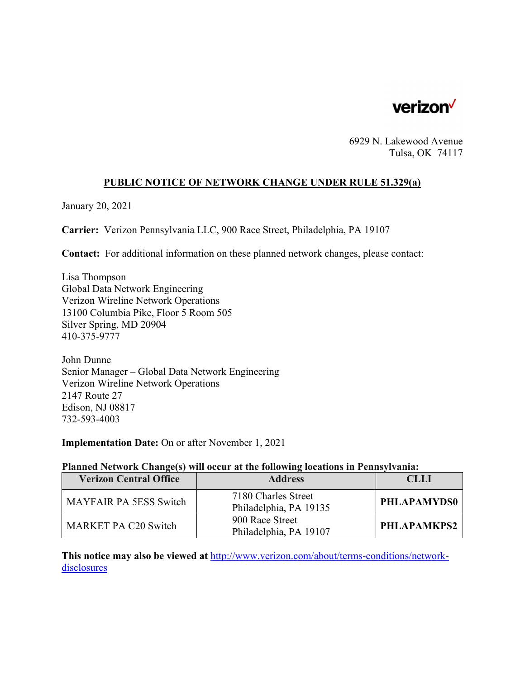

6929 N. Lakewood Avenue Tulsa, OK 74117

# **PUBLIC NOTICE OF NETWORK CHANGE UNDER RULE 51.329(a)**

January 20, 2021

**Carrier:** Verizon Pennsylvania LLC, 900 Race Street, Philadelphia, PA 19107

**Contact:** For additional information on these planned network changes, please contact:

Lisa Thompson Global Data Network Engineering Verizon Wireline Network Operations 13100 Columbia Pike, Floor 5 Room 505 Silver Spring, MD 20904 410-375-9777

John Dunne Senior Manager – Global Data Network Engineering Verizon Wireline Network Operations 2147 Route 27 Edison, NJ 08817 732-593-4003

**Implementation Date:** On or after November 1, 2021

## **Planned Network Change(s) will occur at the following locations in Pennsylvania:**

| <b>Verizon Central Office</b> | <b>Address</b>                                | CLLL               |
|-------------------------------|-----------------------------------------------|--------------------|
| <b>MAYFAIR PA 5ESS Switch</b> | 7180 Charles Street<br>Philadelphia, PA 19135 | <b>PHLAPAMYDS0</b> |
| <b>MARKET PA C20 Switch</b>   | 900 Race Street<br>Philadelphia, PA 19107     | PHLAPAMKPS2        |

**This notice may also be viewed at** http://www.verizon.com/about/terms-conditions/networkdisclosures